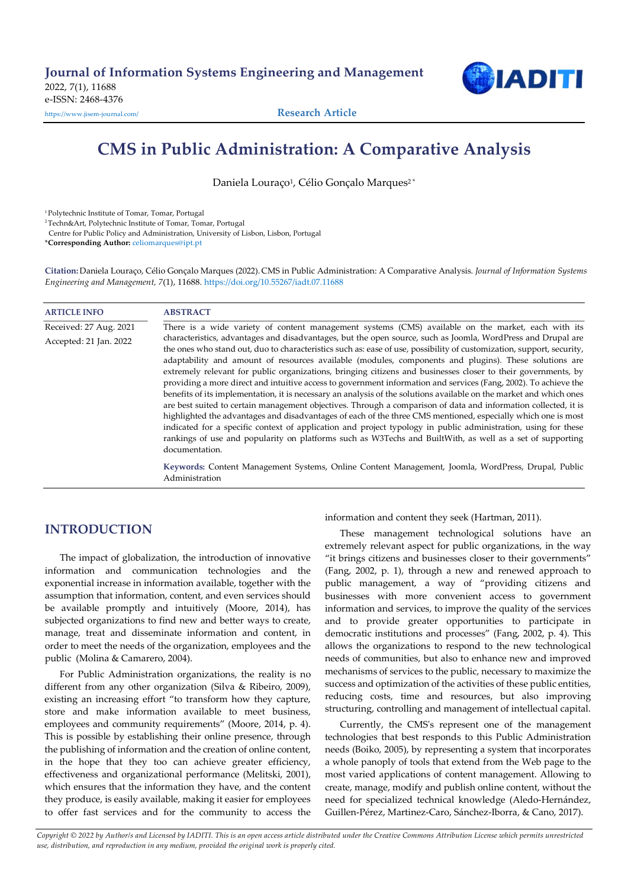

# CMS in Public Administration: A Comparative Analysis

Daniela Louraço<sup>1</sup>, Célio Gonçalo Marques<sup>2\*</sup>

<sup>1</sup>Polytechnic Institute of Tomar, Tomar, Portugal

<sup>2</sup>Techn&Art, Polytechnic Institute of Tomar, Tomar, Portugal

Centre for Public Policy and Administration, University of Lisbon, Lisbon, Portugal

\*Corresponding Author: celiomarques@ipt.pt

Citation: Daniela Louraço, Célio Gonçalo Marques (2022). CMS in Public Administration: A Comparative Analysis. Journal of Information Systems Engineering and Management, 7(1), 11688. https://doi.org/10.55267/iadt.07.11688

## ARTICLE INFO ABSTRACT Received: 27 Aug. 2021 There is a wide variety of content management systems (CMS) available on the market, each with its Accepted: 21 Jan. 2022 characteristics, advantages and disadvantages, but the open source, such as Joomla, WordPress and Drupal are the ones who stand out, duo to characteristics such as: ease of use, possibility of customization, support, security, adaptability and amount of resources available (modules, components and plugins). These solutions are extremely relevant for public organizations, bringing citizens and businesses closer to their governments, by providing a more direct and intuitive access to government information and services (Fang, 2002). To achieve the benefits of its implementation, it is necessary an analysis of the solutions available on the market and which ones are best suited to certain management objectives. Through a comparison of data and information collected, it is highlighted the advantages and disadvantages of each of the three CMS mentioned, especially which one is most indicated for a specific context of application and project typology in public administration, using for these rankings of use and popularity on platforms such as W3Techs and BuiltWith, as well as a set of supporting documentation. Keywords: Content Management Systems, Online Content Management, Joomla, WordPress, Drupal, Public Administration

# INTRODUCTION

The impact of globalization, the introduction of innovative information and communication technologies and the exponential increase in information available, together with the assumption that information, content, and even services should be available promptly and intuitively (Moore, 2014), has subjected organizations to find new and better ways to create, manage, treat and disseminate information and content, in order to meet the needs of the organization, employees and the public (Molina & Camarero, 2004).

For Public Administration organizations, the reality is no different from any other organization (Silva & Ribeiro, 2009), existing an increasing effort "to transform how they capture, store and make information available to meet business, employees and community requirements" (Moore, 2014, p. 4). This is possible by establishing their online presence, through the publishing of information and the creation of online content, in the hope that they too can achieve greater efficiency, effectiveness and organizational performance (Melitski, 2001), which ensures that the information they have, and the content they produce, is easily available, making it easier for employees to offer fast services and for the community to access the information and content they seek (Hartman, 2011).

These management technological solutions have an extremely relevant aspect for public organizations, in the way "it brings citizens and businesses closer to their governments" (Fang, 2002, p. 1), through a new and renewed approach to public management, a way of "providing citizens and businesses with more convenient access to government information and services, to improve the quality of the services and to provide greater opportunities to participate in democratic institutions and processes" (Fang, 2002, p. 4). This allows the organizations to respond to the new technological needs of communities, but also to enhance new and improved mechanisms of services to the public, necessary to maximize the success and optimization of the activities of these public entities, reducing costs, time and resources, but also improving structuring, controlling and management of intellectual capital.

Currently, the CMS's represent one of the management technologies that best responds to this Public Administration needs (Boiko, 2005), by representing a system that incorporates a whole panoply of tools that extend from the Web page to the most varied applications of content management. Allowing to create, manage, modify and publish online content, without the need for specialized technical knowledge (Aledo-Hernández, Guillen-Pérez, Martinez-Caro, Sánchez-Iborra, & Cano, 2017).

Copyright © 2022 by Author/s and Licensed by IADITI. This is an open access article distributed under the Creative Commons Attribution License which permits unrestricted use, distribution, and reproduction in any medium, provided the original work is properly cited.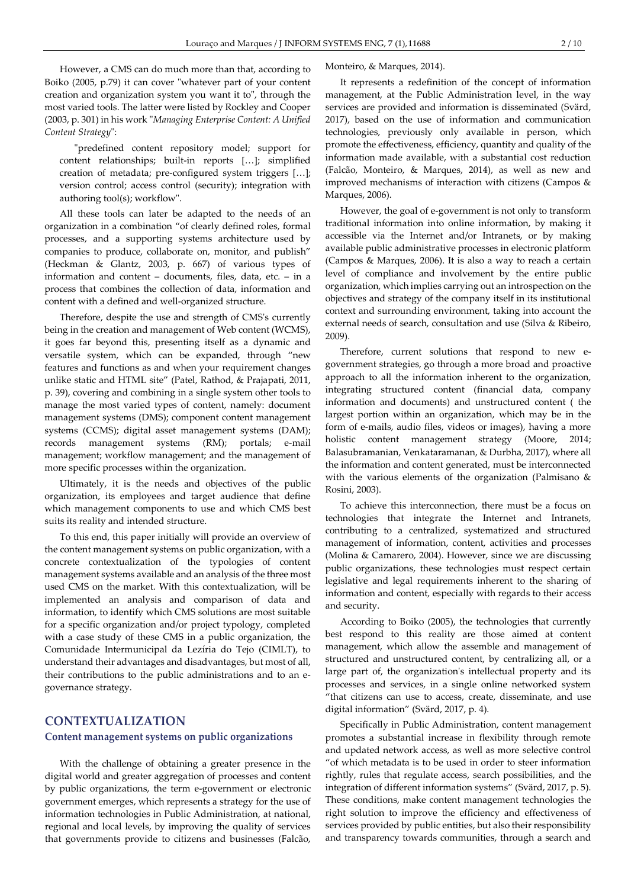However, a CMS can do much more than that, according to Boiko (2005, p.79) it can cover "whatever part of your content creation and organization system you want it to", through the most varied tools. The latter were listed by Rockley and Cooper (2003, p. 301) in his work "Managing Enterprise Content: A Unified Content Strategy":

"predefined content repository model; support for content relationships; built-in reports […]; simplified creation of metadata; pre-configured system triggers […]; version control; access control (security); integration with authoring tool(s); workflow".

All these tools can later be adapted to the needs of an organization in a combination "of clearly defined roles, formal processes, and a supporting systems architecture used by companies to produce, collaborate on, monitor, and publish" (Heckman & Glantz, 2003, p. 667) of various types of information and content – documents, files, data, etc. – in a process that combines the collection of data, information and content with a defined and well-organized structure.

Therefore, despite the use and strength of CMS's currently being in the creation and management of Web content (WCMS), it goes far beyond this, presenting itself as a dynamic and versatile system, which can be expanded, through "new features and functions as and when your requirement changes unlike static and HTML site" (Patel, Rathod, & Prajapati, 2011, p. 39), covering and combining in a single system other tools to manage the most varied types of content, namely: document management systems (DMS); component content management systems (CCMS); digital asset management systems (DAM); records management systems (RM); portals; e-mail management; workflow management; and the management of more specific processes within the organization.

Ultimately, it is the needs and objectives of the public organization, its employees and target audience that define which management components to use and which CMS best suits its reality and intended structure.

To this end, this paper initially will provide an overview of the content management systems on public organization, with a concrete contextualization of the typologies of content management systems available and an analysis of the three most used CMS on the market. With this contextualization, will be implemented an analysis and comparison of data and information, to identify which CMS solutions are most suitable for a specific organization and/or project typology, completed with a case study of these CMS in a public organization, the Comunidade Intermunicipal da Lezíria do Tejo (CIMLT), to understand their advantages and disadvantages, but most of all, their contributions to the public administrations and to an egovernance strategy.

# CONTEXTUALIZATION

#### Content management systems on public organizations

With the challenge of obtaining a greater presence in the digital world and greater aggregation of processes and content by public organizations, the term e-government or electronic government emerges, which represents a strategy for the use of information technologies in Public Administration, at national, regional and local levels, by improving the quality of services that governments provide to citizens and businesses (Falcão, Monteiro, & Marques, 2014).

It represents a redefinition of the concept of information management, at the Public Administration level, in the way services are provided and information is disseminated (Svärd, 2017), based on the use of information and communication technologies, previously only available in person, which promote the effectiveness, efficiency, quantity and quality of the information made available, with a substantial cost reduction (Falcão, Monteiro, & Marques, 2014), as well as new and improved mechanisms of interaction with citizens (Campos & Marques, 2006).

However, the goal of e-government is not only to transform traditional information into online information, by making it accessible via the Internet and/or Intranets, or by making available public administrative processes in electronic platform (Campos & Marques, 2006). It is also a way to reach a certain level of compliance and involvement by the entire public organization, which implies carrying out an introspection on the objectives and strategy of the company itself in its institutional context and surrounding environment, taking into account the external needs of search, consultation and use (Silva & Ribeiro, 2009).

Therefore, current solutions that respond to new egovernment strategies, go through a more broad and proactive approach to all the information inherent to the organization, integrating structured content (financial data, company information and documents) and unstructured content ( the largest portion within an organization, which may be in the form of e-mails, audio files, videos or images), having a more holistic content management strategy (Moore, 2014; Balasubramanian, Venkataramanan, & Durbha, 2017), where all the information and content generated, must be interconnected with the various elements of the organization (Palmisano & Rosini, 2003).

To achieve this interconnection, there must be a focus on technologies that integrate the Internet and Intranets, contributing to a centralized, systematized and structured management of information, content, activities and processes (Molina & Camarero, 2004). However, since we are discussing public organizations, these technologies must respect certain legislative and legal requirements inherent to the sharing of information and content, especially with regards to their access and security.

According to Boiko (2005), the technologies that currently best respond to this reality are those aimed at content management, which allow the assemble and management of structured and unstructured content, by centralizing all, or a large part of, the organization's intellectual property and its processes and services, in a single online networked system "that citizens can use to access, create, disseminate, and use digital information" (Svärd, 2017, p. 4).

Specifically in Public Administration, content management promotes a substantial increase in flexibility through remote and updated network access, as well as more selective control "of which metadata is to be used in order to steer information rightly, rules that regulate access, search possibilities, and the integration of different information systems" (Svärd, 2017, p. 5). These conditions, make content management technologies the right solution to improve the efficiency and effectiveness of services provided by public entities, but also their responsibility and transparency towards communities, through a search and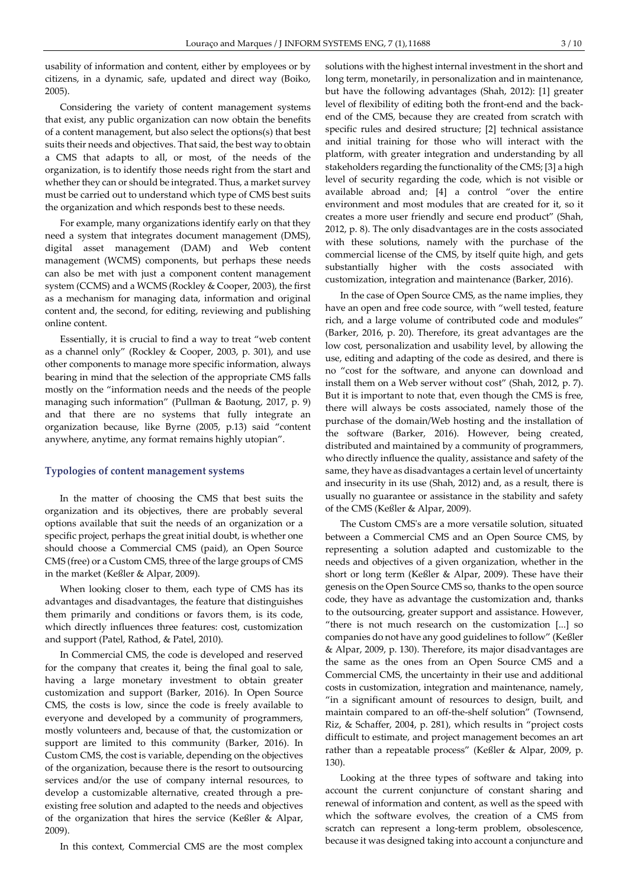usability of information and content, either by employees or by citizens, in a dynamic, safe, updated and direct way (Boiko, 2005).

Considering the variety of content management systems that exist, any public organization can now obtain the benefits of a content management, but also select the options(s) that best suits their needs and objectives. That said, the best way to obtain a CMS that adapts to all, or most, of the needs of the organization, is to identify those needs right from the start and whether they can or should be integrated. Thus, a market survey must be carried out to understand which type of CMS best suits the organization and which responds best to these needs.

For example, many organizations identify early on that they need a system that integrates document management (DMS), digital asset management (DAM) and Web content management (WCMS) components, but perhaps these needs can also be met with just a component content management system (CCMS) and a WCMS (Rockley & Cooper, 2003), the first as a mechanism for managing data, information and original content and, the second, for editing, reviewing and publishing online content.

Essentially, it is crucial to find a way to treat "web content as a channel only" (Rockley & Cooper, 2003, p. 301), and use other components to manage more specific information, always bearing in mind that the selection of the appropriate CMS falls mostly on the "information needs and the needs of the people managing such information" (Pullman & Baotung, 2017, p. 9) and that there are no systems that fully integrate an organization because, like Byrne (2005, p.13) said "content anywhere, anytime, any format remains highly utopian".

#### Typologies of content management systems

In the matter of choosing the CMS that best suits the organization and its objectives, there are probably several options available that suit the needs of an organization or a specific project, perhaps the great initial doubt, is whether one should choose a Commercial CMS (paid), an Open Source CMS (free) or a Custom CMS, three of the large groups of CMS in the market (Keßler & Alpar, 2009).

When looking closer to them, each type of CMS has its advantages and disadvantages, the feature that distinguishes them primarily and conditions or favors them, is its code, which directly influences three features: cost, customization and support (Patel, Rathod, & Patel, 2010).

In Commercial CMS, the code is developed and reserved for the company that creates it, being the final goal to sale, having a large monetary investment to obtain greater customization and support (Barker, 2016). In Open Source CMS, the costs is low, since the code is freely available to everyone and developed by a community of programmers, mostly volunteers and, because of that, the customization or support are limited to this community (Barker, 2016). In Custom CMS, the cost is variable, depending on the objectives of the organization, because there is the resort to outsourcing services and/or the use of company internal resources, to develop a customizable alternative, created through a preexisting free solution and adapted to the needs and objectives of the organization that hires the service (Keßler & Alpar, 2009).

In this context, Commercial CMS are the most complex

solutions with the highest internal investment in the short and long term, monetarily, in personalization and in maintenance, but have the following advantages (Shah, 2012): [1] greater level of flexibility of editing both the front-end and the backend of the CMS, because they are created from scratch with specific rules and desired structure; [2] technical assistance and initial training for those who will interact with the platform, with greater integration and understanding by all stakeholders regarding the functionality of the CMS; [3] a high level of security regarding the code, which is not visible or available abroad and; [4] a control "over the entire environment and most modules that are created for it, so it creates a more user friendly and secure end product" (Shah, 2012, p. 8). The only disadvantages are in the costs associated with these solutions, namely with the purchase of the commercial license of the CMS, by itself quite high, and gets substantially higher with the costs associated with customization, integration and maintenance (Barker, 2016).

In the case of Open Source CMS, as the name implies, they have an open and free code source, with "well tested, feature rich, and a large volume of contributed code and modules" (Barker, 2016, p. 20). Therefore, its great advantages are the low cost, personalization and usability level, by allowing the use, editing and adapting of the code as desired, and there is no "cost for the software, and anyone can download and install them on a Web server without cost" (Shah, 2012, p. 7). But it is important to note that, even though the CMS is free, there will always be costs associated, namely those of the purchase of the domain/Web hosting and the installation of the software (Barker, 2016). However, being created, distributed and maintained by a community of programmers, who directly influence the quality, assistance and safety of the same, they have as disadvantages a certain level of uncertainty and insecurity in its use (Shah, 2012) and, as a result, there is usually no guarantee or assistance in the stability and safety of the CMS (Keßler & Alpar, 2009).

The Custom CMS's are a more versatile solution, situated between a Commercial CMS and an Open Source CMS, by representing a solution adapted and customizable to the needs and objectives of a given organization, whether in the short or long term (Keßler & Alpar, 2009). These have their genesis on the Open Source CMS so, thanks to the open source code, they have as advantage the customization and, thanks to the outsourcing, greater support and assistance. However, "there is not much research on the customization [...] so companies do not have any good guidelines to follow" (Keßler & Alpar, 2009, p. 130). Therefore, its major disadvantages are the same as the ones from an Open Source CMS and a Commercial CMS, the uncertainty in their use and additional costs in customization, integration and maintenance, namely, "in a significant amount of resources to design, built, and maintain compared to an off-the-shelf solution" (Townsend, Riz, & Schaffer, 2004, p. 281), which results in "project costs difficult to estimate, and project management becomes an art rather than a repeatable process" (Keßler & Alpar, 2009, p. 130).

Looking at the three types of software and taking into account the current conjuncture of constant sharing and renewal of information and content, as well as the speed with which the software evolves, the creation of a CMS from scratch can represent a long-term problem, obsolescence, because it was designed taking into account a conjuncture and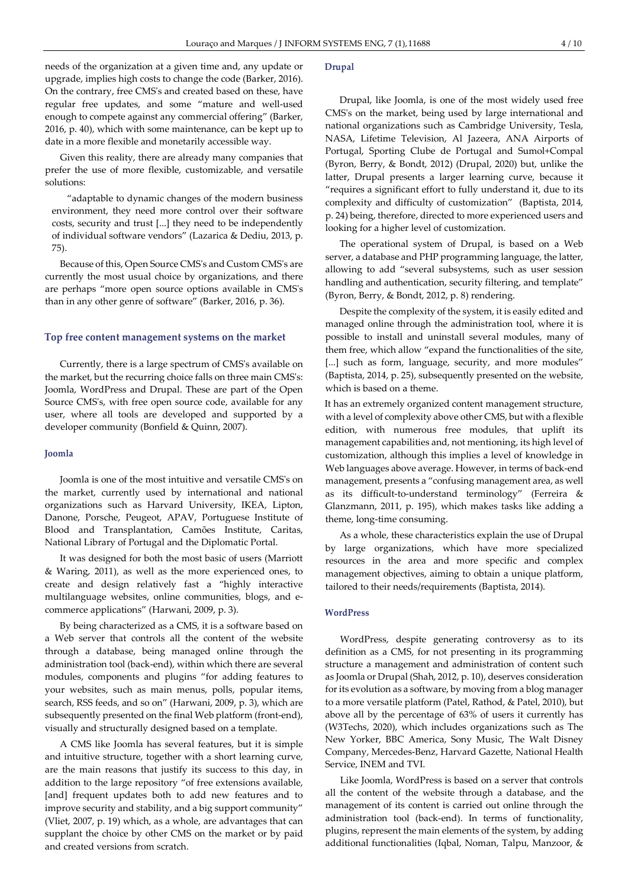needs of the organization at a given time and, any update or upgrade, implies high costs to change the code (Barker, 2016). On the contrary, free CMS's and created based on these, have regular free updates, and some "mature and well-used enough to compete against any commercial offering" (Barker, 2016, p. 40), which with some maintenance, can be kept up to date in a more flexible and monetarily accessible way.

Given this reality, there are already many companies that prefer the use of more flexible, customizable, and versatile solutions:

"adaptable to dynamic changes of the modern business environment, they need more control over their software costs, security and trust [...] they need to be independently of individual software vendors" (Lazarica & Dediu, 2013, p. 75).

Because of this, Open Source CMS's and Custom CMS's are currently the most usual choice by organizations, and there are perhaps "more open source options available in CMS's than in any other genre of software" (Barker, 2016, p. 36).

#### Top free content management systems on the market

Currently, there is a large spectrum of CMS's available on the market, but the recurring choice falls on three main CMS's: Joomla, WordPress and Drupal. These are part of the Open Source CMS's, with free open source code, available for any user, where all tools are developed and supported by a developer community (Bonfield & Quinn, 2007).

#### Joomla

Joomla is one of the most intuitive and versatile CMS's on the market, currently used by international and national organizations such as Harvard University, IKEA, Lipton, Danone, Porsche, Peugeot, APAV, Portuguese Institute of Blood and Transplantation, Camões Institute, Caritas, National Library of Portugal and the Diplomatic Portal.

It was designed for both the most basic of users (Marriott & Waring, 2011), as well as the more experienced ones, to create and design relatively fast a "highly interactive multilanguage websites, online communities, blogs, and ecommerce applications" (Harwani, 2009, p. 3).

By being characterized as a CMS, it is a software based on a Web server that controls all the content of the website through a database, being managed online through the administration tool (back-end), within which there are several modules, components and plugins "for adding features to your websites, such as main menus, polls, popular items, search, RSS feeds, and so on" (Harwani, 2009, p. 3), which are subsequently presented on the final Web platform (front-end), visually and structurally designed based on a template.

A CMS like Joomla has several features, but it is simple and intuitive structure, together with a short learning curve, are the main reasons that justify its success to this day, in addition to the large repository "of free extensions available, [and] frequent updates both to add new features and to improve security and stability, and a big support community" (Vliet, 2007, p. 19) which, as a whole, are advantages that can supplant the choice by other CMS on the market or by paid and created versions from scratch.

## Drupal

Drupal, like Joomla, is one of the most widely used free CMS's on the market, being used by large international and national organizations such as Cambridge University, Tesla, NASA, Lifetime Television, Al Jazeera, ANA Airports of Portugal, Sporting Clube de Portugal and Sumol+Compal (Byron, Berry, & Bondt, 2012) (Drupal, 2020) but, unlike the latter, Drupal presents a larger learning curve, because it "requires a significant effort to fully understand it, due to its complexity and difficulty of customization" (Baptista, 2014, p. 24) being, therefore, directed to more experienced users and looking for a higher level of customization.

The operational system of Drupal, is based on a Web server, a database and PHP programming language, the latter, allowing to add "several subsystems, such as user session handling and authentication, security filtering, and template" (Byron, Berry, & Bondt, 2012, p. 8) rendering.

Despite the complexity of the system, it is easily edited and managed online through the administration tool, where it is possible to install and uninstall several modules, many of them free, which allow "expand the functionalities of the site, [...] such as form, language, security, and more modules" (Baptista, 2014, p. 25), subsequently presented on the website, which is based on a theme.

It has an extremely organized content management structure, with a level of complexity above other CMS, but with a flexible edition, with numerous free modules, that uplift its management capabilities and, not mentioning, its high level of customization, although this implies a level of knowledge in Web languages above average. However, in terms of back-end management, presents a "confusing management area, as well as its difficult-to-understand terminology" (Ferreira & Glanzmann, 2011, p. 195), which makes tasks like adding a theme, long-time consuming.

As a whole, these characteristics explain the use of Drupal by large organizations, which have more specialized resources in the area and more specific and complex management objectives, aiming to obtain a unique platform, tailored to their needs/requirements (Baptista, 2014).

#### WordPress

WordPress, despite generating controversy as to its definition as a CMS, for not presenting in its programming structure a management and administration of content such as Joomla or Drupal (Shah, 2012, p. 10), deserves consideration for its evolution as a software, by moving from a blog manager to a more versatile platform (Patel, Rathod, & Patel, 2010), but above all by the percentage of 63% of users it currently has (W3Techs, 2020), which includes organizations such as The New Yorker, BBC America, Sony Music, The Walt Disney Company, Mercedes-Benz, Harvard Gazette, National Health Service, INEM and TVI.

Like Joomla, WordPress is based on a server that controls all the content of the website through a database, and the management of its content is carried out online through the administration tool (back-end). In terms of functionality, plugins, represent the main elements of the system, by adding additional functionalities (Iqbal, Noman, Talpu, Manzoor, &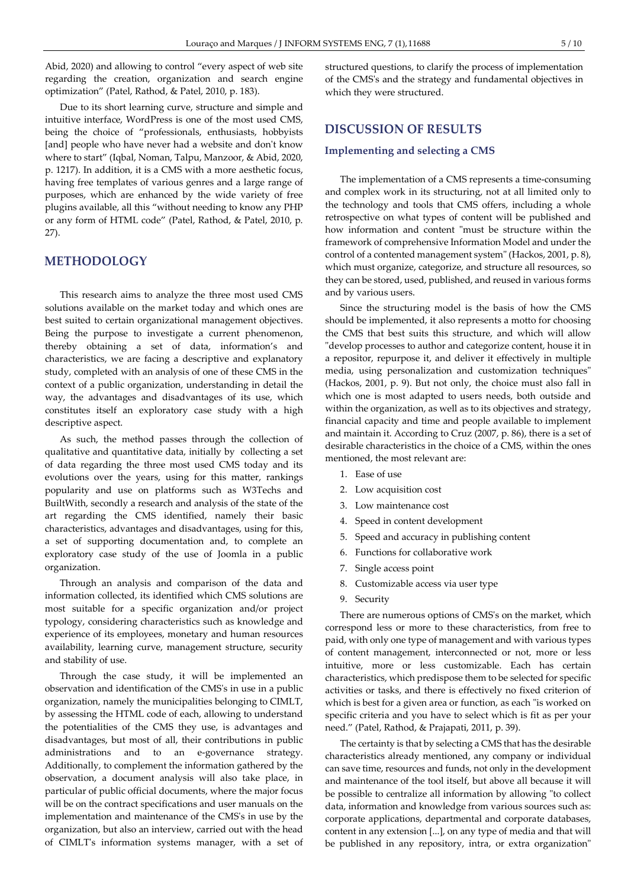Abid, 2020) and allowing to control "every aspect of web site regarding the creation, organization and search engine optimization" (Patel, Rathod, & Patel, 2010, p. 183).

Due to its short learning curve, structure and simple and intuitive interface, WordPress is one of the most used CMS, being the choice of "professionals, enthusiasts, hobbyists [and] people who have never had a website and don't know where to start" (Iqbal, Noman, Talpu, Manzoor, & Abid, 2020, p. 1217). In addition, it is a CMS with a more aesthetic focus, having free templates of various genres and a large range of purposes, which are enhanced by the wide variety of free plugins available, all this "without needing to know any PHP or any form of HTML code" (Patel, Rathod, & Patel, 2010, p. 27).

## METHODOLOGY

This research aims to analyze the three most used CMS solutions available on the market today and which ones are best suited to certain organizational management objectives. Being the purpose to investigate a current phenomenon, thereby obtaining a set of data, information's and characteristics, we are facing a descriptive and explanatory study, completed with an analysis of one of these CMS in the context of a public organization, understanding in detail the way, the advantages and disadvantages of its use, which constitutes itself an exploratory case study with a high descriptive aspect.

As such, the method passes through the collection of qualitative and quantitative data, initially by collecting a set of data regarding the three most used CMS today and its evolutions over the years, using for this matter, rankings popularity and use on platforms such as W3Techs and BuiltWith, secondly a research and analysis of the state of the art regarding the CMS identified, namely their basic characteristics, advantages and disadvantages, using for this, a set of supporting documentation and, to complete an exploratory case study of the use of Joomla in a public organization.

Through an analysis and comparison of the data and information collected, its identified which CMS solutions are most suitable for a specific organization and/or project typology, considering characteristics such as knowledge and experience of its employees, monetary and human resources availability, learning curve, management structure, security and stability of use.

Through the case study, it will be implemented an observation and identification of the CMS's in use in a public organization, namely the municipalities belonging to CIMLT, by assessing the HTML code of each, allowing to understand the potentialities of the CMS they use, is advantages and disadvantages, but most of all, their contributions in public administrations and to an e-governance strategy. Additionally, to complement the information gathered by the observation, a document analysis will also take place, in particular of public official documents, where the major focus will be on the contract specifications and user manuals on the implementation and maintenance of the CMS's in use by the organization, but also an interview, carried out with the head of CIMLT's information systems manager, with a set of structured questions, to clarify the process of implementation of the CMS's and the strategy and fundamental objectives in which they were structured.

## DISCUSSION OF RESULTS

#### Implementing and selecting a CMS

The implementation of a CMS represents a time-consuming and complex work in its structuring, not at all limited only to the technology and tools that CMS offers, including a whole retrospective on what types of content will be published and how information and content "must be structure within the framework of comprehensive Information Model and under the control of a contented management system" (Hackos, 2001, p. 8), which must organize, categorize, and structure all resources, so they can be stored, used, published, and reused in various forms and by various users.

Since the structuring model is the basis of how the CMS should be implemented, it also represents a motto for choosing the CMS that best suits this structure, and which will allow "develop processes to author and categorize content, house it in a repositor, repurpose it, and deliver it effectively in multiple media, using personalization and customization techniques" (Hackos, 2001, p. 9). But not only, the choice must also fall in which one is most adapted to users needs, both outside and within the organization, as well as to its objectives and strategy, financial capacity and time and people available to implement and maintain it. According to Cruz (2007, p. 86), there is a set of desirable characteristics in the choice of a CMS, within the ones mentioned, the most relevant are:

- 1. Ease of use
- 2. Low acquisition cost
- 3. Low maintenance cost
- 4. Speed in content development
- 5. Speed and accuracy in publishing content
- 6. Functions for collaborative work
- 7. Single access point
- 8. Customizable access via user type
- 9. Security

There are numerous options of CMS's on the market, which correspond less or more to these characteristics, from free to paid, with only one type of management and with various types of content management, interconnected or not, more or less intuitive, more or less customizable. Each has certain characteristics, which predispose them to be selected for specific activities or tasks, and there is effectively no fixed criterion of which is best for a given area or function, as each "is worked on specific criteria and you have to select which is fit as per your need." (Patel, Rathod, & Prajapati, 2011, p. 39).

The certainty is that by selecting a CMS that has the desirable characteristics already mentioned, any company or individual can save time, resources and funds, not only in the development and maintenance of the tool itself, but above all because it will be possible to centralize all information by allowing "to collect data, information and knowledge from various sources such as: corporate applications, departmental and corporate databases, content in any extension [...], on any type of media and that will be published in any repository, intra, or extra organization"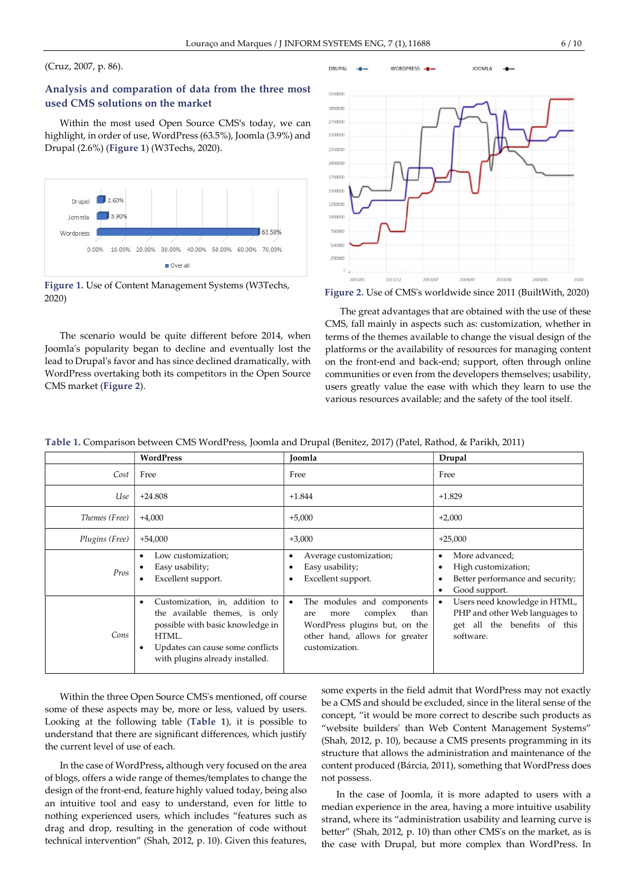## (Cruz, 2007, p. 86).

## Analysis and comparation of data from the three most used CMS solutions on the market

Within the most used Open Source CMS's today, we can highlight, in order of use, WordPress (63.5%), Joomla (3.9%) and Drupal (2.6%) (Figure 1) (W3Techs, 2020).



Figure 1. Use of Content Management Systems (W3Techs, 2020)

The scenario would be quite different before 2014, when Joomla's popularity began to decline and eventually lost the lead to Drupal's favor and has since declined dramatically, with WordPress overtaking both its competitors in the Open Source CMS market (Figure 2).



Figure 2. Use of CMS's worldwide since 2011 (BuiltWith, 2020)

The great advantages that are obtained with the use of these CMS, fall mainly in aspects such as: customization, whether in terms of the themes available to change the visual design of the platforms or the availability of resources for managing content on the front-end and back-end; support, often through online communities or even from the developers themselves; usability, users greatly value the ease with which they learn to use the various resources available; and the safety of the tool itself.

|                    | WordPress | Joomla | Drupal |
|--------------------|-----------|--------|--------|
| ⌒<br>$\mathcal{L}$ | Free      | Free   | Free   |
|                    |           |        |        |

Table 1. Comparison between CMS WordPress, Joomla and Drupal (Benitez, 2017) (Patel, Rathod, & Parikh, 2011)

|  | Use            | $+24.808$                                                                                                                                                                                | $+1.844$                                                                                                                                                       | $+1.829$                                                                                                     |
|--|----------------|------------------------------------------------------------------------------------------------------------------------------------------------------------------------------------------|----------------------------------------------------------------------------------------------------------------------------------------------------------------|--------------------------------------------------------------------------------------------------------------|
|  | Themes (Free)  | $+4,000$                                                                                                                                                                                 | $+5,000$                                                                                                                                                       | $+2,000$                                                                                                     |
|  | Plugins (Free) | $+54,000$                                                                                                                                                                                | $+3,000$                                                                                                                                                       | $+25,000$                                                                                                    |
|  | Pros           | Low customization;<br>Easy usability;<br>Excellent support.                                                                                                                              | Average customization;<br>Easy usability;<br>Excellent support.                                                                                                | More advanced;<br>٠<br>High customization;<br>Better performance and security;<br>Good support.              |
|  | Cons           | Customization, in, addition to<br>٠<br>the available themes, is only<br>possible with basic knowledge in<br>HTML.<br>Updates can cause some conflicts<br>with plugins already installed. | The modules and components<br>$\bullet$<br>complex<br>than<br>more<br>are<br>WordPress plugins but, on the<br>other hand, allows for greater<br>customization. | Users need knowledge in HTML,<br>PHP and other Web languages to<br>get all the benefits of this<br>software. |

Within the three Open Source CMS's mentioned, off course some of these aspects may be, more or less, valued by users. Looking at the following table (Table 1), it is possible to understand that there are significant differences, which justify the current level of use of each.

In the case of WordPress, although very focused on the area of blogs, offers a wide range of themes/templates to change the design of the front-end, feature highly valued today, being also an intuitive tool and easy to understand, even for little to nothing experienced users, which includes "features such as drag and drop, resulting in the generation of code without technical intervention" (Shah, 2012, p. 10). Given this features, some experts in the field admit that WordPress may not exactly be a CMS and should be excluded, since in the literal sense of the concept, "it would be more correct to describe such products as "website builders' than Web Content Management Systems" (Shah, 2012, p. 10), because a CMS presents programming in its structure that allows the administration and maintenance of the content produced (Bárcia, 2011), something that WordPress does not possess.

In the case of Joomla, it is more adapted to users with a median experience in the area, having a more intuitive usability strand, where its "administration usability and learning curve is better" (Shah, 2012, p. 10) than other CMS's on the market, as is the case with Drupal, but more complex than WordPress. In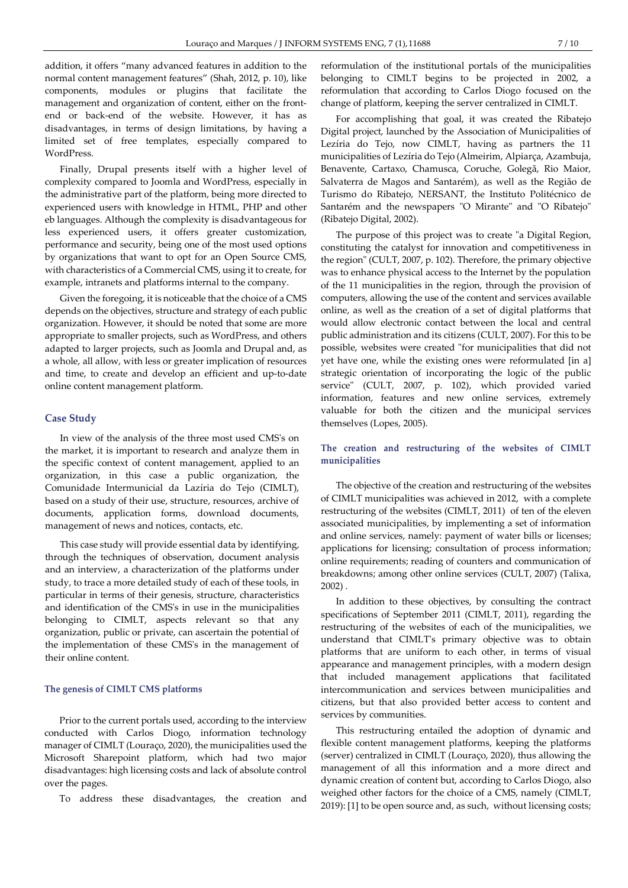addition, it offers "many advanced features in addition to the normal content management features" (Shah, 2012, p. 10), like components, modules or plugins that facilitate the management and organization of content, either on the frontend or back-end of the website. However, it has as disadvantages, in terms of design limitations, by having a limited set of free templates, especially compared to WordPress.

Finally, Drupal presents itself with a higher level of complexity compared to Joomla and WordPress, especially in the administrative part of the platform, being more directed to experienced users with knowledge in HTML, PHP and other eb languages. Although the complexity is disadvantageous for less experienced users, it offers greater customization, performance and security, being one of the most used options by organizations that want to opt for an Open Source CMS, with characteristics of a Commercial CMS, using it to create, for example, intranets and platforms internal to the company.

Given the foregoing, it is noticeable that the choice of a CMS depends on the objectives, structure and strategy of each public organization. However, it should be noted that some are more appropriate to smaller projects, such as WordPress, and others adapted to larger projects, such as Joomla and Drupal and, as a whole, all allow, with less or greater implication of resources and time, to create and develop an efficient and up-to-date online content management platform.

#### Case Study

In view of the analysis of the three most used CMS's on the market, it is important to research and analyze them in the specific context of content management, applied to an organization, in this case a public organization, the Comunidade Intermunicial da Lazíria do Tejo (CIMLT), based on a study of their use, structure, resources, archive of documents, application forms, download documents, management of news and notices, contacts, etc.

This case study will provide essential data by identifying, through the techniques of observation, document analysis and an interview, a characterization of the platforms under study, to trace a more detailed study of each of these tools, in particular in terms of their genesis, structure, characteristics and identification of the CMS's in use in the municipalities belonging to CIMLT, aspects relevant so that any organization, public or private, can ascertain the potential of the implementation of these CMS's in the management of their online content.

#### The genesis of CIMLT CMS platforms

Prior to the current portals used, according to the interview conducted with Carlos Diogo, information technology manager of CIMLT (Louraço, 2020), the municipalities used the Microsoft Sharepoint platform, which had two major disadvantages: high licensing costs and lack of absolute control over the pages.

To address these disadvantages, the creation and

reformulation of the institutional portals of the municipalities belonging to CIMLT begins to be projected in 2002, a reformulation that according to Carlos Diogo focused on the change of platform, keeping the server centralized in CIMLT.

For accomplishing that goal, it was created the Ribatejo Digital project, launched by the Association of Municipalities of Lezíria do Tejo, now CIMLT, having as partners the 11 municipalities of Lezíria do Tejo (Almeirim, Alpiarça, Azambuja, Benavente, Cartaxo, Chamusca, Coruche, Golegã, Rio Maior, Salvaterra de Magos and Santarém), as well as the Região de Turismo do Ribatejo, NERSANT, the Instituto Politécnico de Santarém and the newspapers "O Mirante" and "O Ribatejo" (Ribatejo Digital, 2002).

The purpose of this project was to create "a Digital Region, constituting the catalyst for innovation and competitiveness in the region" (CULT, 2007, p. 102). Therefore, the primary objective was to enhance physical access to the Internet by the population of the 11 municipalities in the region, through the provision of computers, allowing the use of the content and services available online, as well as the creation of a set of digital platforms that would allow electronic contact between the local and central public administration and its citizens (CULT, 2007). For this to be possible, websites were created "for municipalities that did not yet have one, while the existing ones were reformulated [in a] strategic orientation of incorporating the logic of the public service" (CULT, 2007, p. 102), which provided varied information, features and new online services, extremely valuable for both the citizen and the municipal services themselves (Lopes, 2005).

## The creation and restructuring of the websites of CIMLT municipalities

The objective of the creation and restructuring of the websites of CIMLT municipalities was achieved in 2012, with a complete restructuring of the websites (CIMLT, 2011) of ten of the eleven associated municipalities, by implementing a set of information and online services, namely: payment of water bills or licenses; applications for licensing; consultation of process information; online requirements; reading of counters and communication of breakdowns; among other online services (CULT, 2007) (Talixa, 2002) .

In addition to these objectives, by consulting the contract specifications of September 2011 (CIMLT, 2011), regarding the restructuring of the websites of each of the municipalities, we understand that CIMLT's primary objective was to obtain platforms that are uniform to each other, in terms of visual appearance and management principles, with a modern design that included management applications that facilitated intercommunication and services between municipalities and citizens, but that also provided better access to content and services by communities.

This restructuring entailed the adoption of dynamic and flexible content management platforms, keeping the platforms (server) centralized in CIMLT (Louraço, 2020), thus allowing the management of all this information and a more direct and dynamic creation of content but, according to Carlos Diogo, also weighed other factors for the choice of a CMS, namely (CIMLT, 2019): [1] to be open source and, as such, without licensing costs;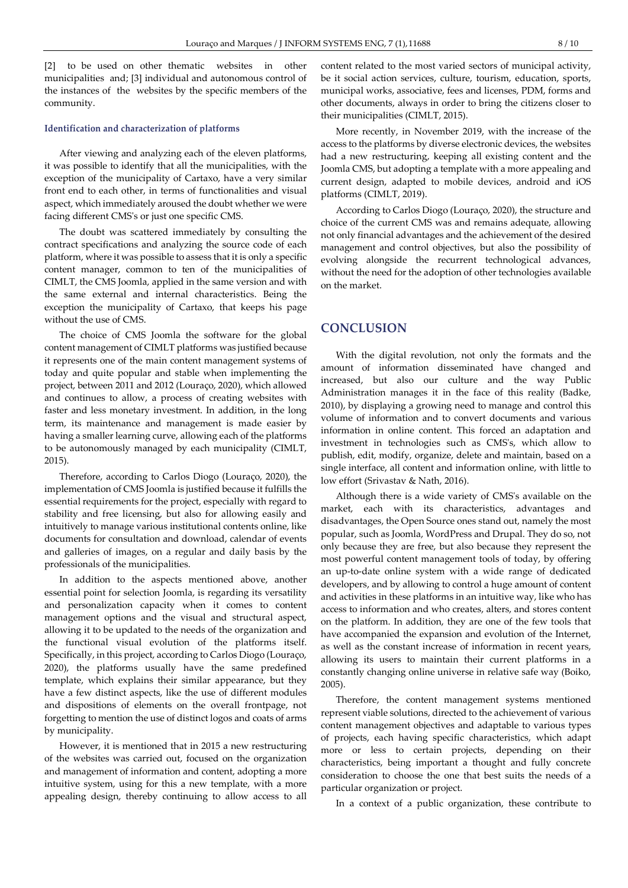[2] to be used on other thematic websites in other municipalities and; [3] individual and autonomous control of the instances of the websites by the specific members of the community.

#### Identification and characterization of platforms

After viewing and analyzing each of the eleven platforms, it was possible to identify that all the municipalities, with the exception of the municipality of Cartaxo, have a very similar front end to each other, in terms of functionalities and visual aspect, which immediately aroused the doubt whether we were facing different CMS's or just one specific CMS.

The doubt was scattered immediately by consulting the contract specifications and analyzing the source code of each platform, where it was possible to assess that it is only a specific content manager, common to ten of the municipalities of CIMLT, the CMS Joomla, applied in the same version and with the same external and internal characteristics. Being the exception the municipality of Cartaxo, that keeps his page without the use of CMS.

The choice of CMS Joomla the software for the global content management of CIMLT platforms was justified because it represents one of the main content management systems of today and quite popular and stable when implementing the project, between 2011 and 2012 (Louraço, 2020), which allowed and continues to allow, a process of creating websites with faster and less monetary investment. In addition, in the long term, its maintenance and management is made easier by having a smaller learning curve, allowing each of the platforms to be autonomously managed by each municipality (CIMLT, 2015).

Therefore, according to Carlos Diogo (Louraço, 2020), the implementation of CMS Joomla is justified because it fulfills the essential requirements for the project, especially with regard to stability and free licensing, but also for allowing easily and intuitively to manage various institutional contents online, like documents for consultation and download, calendar of events and galleries of images, on a regular and daily basis by the professionals of the municipalities.

In addition to the aspects mentioned above, another essential point for selection Joomla, is regarding its versatility and personalization capacity when it comes to content management options and the visual and structural aspect, allowing it to be updated to the needs of the organization and the functional visual evolution of the platforms itself. Specifically, in this project, according to Carlos Diogo (Louraço, 2020), the platforms usually have the same predefined template, which explains their similar appearance, but they have a few distinct aspects, like the use of different modules and dispositions of elements on the overall frontpage, not forgetting to mention the use of distinct logos and coats of arms by municipality.

However, it is mentioned that in 2015 a new restructuring of the websites was carried out, focused on the organization and management of information and content, adopting a more intuitive system, using for this a new template, with a more appealing design, thereby continuing to allow access to all content related to the most varied sectors of municipal activity, be it social action services, culture, tourism, education, sports, municipal works, associative, fees and licenses, PDM, forms and other documents, always in order to bring the citizens closer to their municipalities (CIMLT, 2015).

More recently, in November 2019, with the increase of the access to the platforms by diverse electronic devices, the websites had a new restructuring, keeping all existing content and the Joomla CMS, but adopting a template with a more appealing and current design, adapted to mobile devices, android and iOS platforms (CIMLT, 2019).

According to Carlos Diogo (Louraço, 2020), the structure and choice of the current CMS was and remains adequate, allowing not only financial advantages and the achievement of the desired management and control objectives, but also the possibility of evolving alongside the recurrent technological advances, without the need for the adoption of other technologies available on the market.

## **CONCLUSION**

With the digital revolution, not only the formats and the amount of information disseminated have changed and increased, but also our culture and the way Public Administration manages it in the face of this reality (Badke, 2010), by displaying a growing need to manage and control this volume of information and to convert documents and various information in online content. This forced an adaptation and investment in technologies such as CMS's, which allow to publish, edit, modify, organize, delete and maintain, based on a single interface, all content and information online, with little to low effort (Srivastav & Nath, 2016).

Although there is a wide variety of CMS's available on the market, each with its characteristics, advantages and disadvantages, the Open Source ones stand out, namely the most popular, such as Joomla, WordPress and Drupal. They do so, not only because they are free, but also because they represent the most powerful content management tools of today, by offering an up-to-date online system with a wide range of dedicated developers, and by allowing to control a huge amount of content and activities in these platforms in an intuitive way, like who has access to information and who creates, alters, and stores content on the platform. In addition, they are one of the few tools that have accompanied the expansion and evolution of the Internet, as well as the constant increase of information in recent years, allowing its users to maintain their current platforms in a constantly changing online universe in relative safe way (Boiko, 2005).

Therefore, the content management systems mentioned represent viable solutions, directed to the achievement of various content management objectives and adaptable to various types of projects, each having specific characteristics, which adapt more or less to certain projects, depending on their characteristics, being important a thought and fully concrete consideration to choose the one that best suits the needs of a particular organization or project.

In a context of a public organization, these contribute to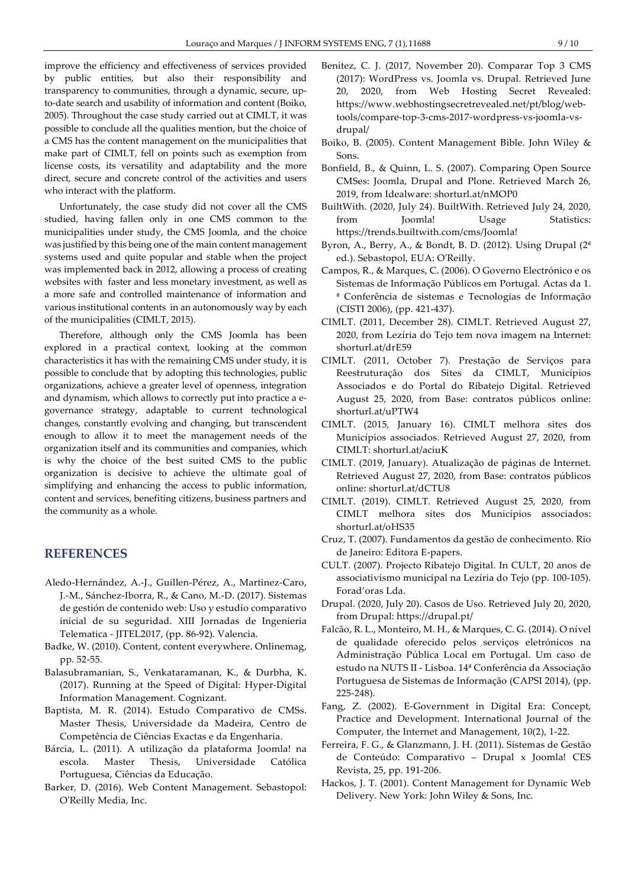improve the efficiency and effectiveness of services provided by public entities, but also their responsibility and transparency to communities, through a dynamic, secure, upto-date search and usability of information and content (Boiko, 2005). Throughout the case study carried out at CIMLT, it was possible to conclude all the qualities mention, but the choice of a CMS has the content management on the municipalities that make part of CIMLT, fell on points such as exemption from license costs, its versatility and adaptability and the more direct, secure and concrete control of the activities and users who interact with the platform.

Unfortunately, the case study did not cover all the CMS studied, having fallen only in one CMS common to the municipalities under study, the CMS Joomla, and the choice was justified by this being one of the main content management systems used and quite popular and stable when the project was implemented back in 2012, allowing a process of creating websites with faster and less monetary investment, as well as a more safe and controlled maintenance of information and various institutional contents in an autonomously way by each of the municipalities (CIMLT, 2015).

Therefore, although only the CMS Joomla has been explored in a practical context, looking at the common characteristics it has with the remaining CMS under study, it is possible to conclude that by adopting this technologies, public organizations, achieve a greater level of openness, integration and dynamism, which allows to correctly put into practice a egovernance strategy, adaptable to current technological changes, constantly evolving and changing, but transcendent enough to allow it to meet the management needs of the organization itself and its communities and companies, which is why the choice of the best suited CMS to the public organization is decisive to achieve the ultimate goal of simplifying and enhancing the access to public information, content and services, benefiting citizens, business partners and the community as a whole.

# REFERENCES

- Aledo-Hernández, A.-J., Guillen-Pérez, A., Martinez-Caro, J.-M., Sánchez-Iborra, R., & Cano, M.-D. (2017). Sistemas de gestión de contenido web: Uso y estudio comparativo inicial de su seguridad. XIII Jornadas de Ingenieria Telematica - JITEL2017, (pp. 86-92). Valencia.
- Badke, W. (2010). Content, content everywhere. Onlinemag, pp. 52-55.
- Balasubramanian, S., Venkataramanan, K., & Durbha, K. (2017). Running at the Speed of Digital: Hyper-Digital Information Management. Cognizant.
- Baptista, M. R. (2014). Estudo Comparativo de CMSs. Master Thesis, Universidade da Madeira, Centro de Competência de Ciências Exactas e da Engenharia.
- Bárcia, L. (2011). A utilização da plataforma Joomla! na escola. Master Thesis, Universidade Católica Portuguesa, Ciências da Educação.
- Barker, D. (2016). Web Content Management. Sebastopol: O'Reilly Media, Inc.
- Benitez, C. J. (2017, November 20). Comparar Top 3 CMS (2017): WordPress vs. Joomla vs. Drupal. Retrieved June 20, 2020, from Web Hosting Secret Revealed: https://www.webhostingsecretrevealed.net/pt/blog/webtools/compare-top-3-cms-2017-wordpress-vs-joomla-vsdrupal/
- Boiko, B. (2005). Content Management Bible. John Wiley & Sons.
- Bonfield, B., & Quinn, L. S. (2007). Comparing Open Source CMSes: Joomla, Drupal and Plone. Retrieved March 26, 2019, from Idealware: shorturl.at/nMOP0
- BuiltWith. (2020, July 24). BuiltWith. Retrieved July 24, 2020, from Joomla! Usage Statistics: https://trends.builtwith.com/cms/Joomla!
- Byron, A., Berry, A., & Bondt, B. D. (2012). Using Drupal  $(2^a)$ ed.). Sebastopol, EUA: O'Reilly.
- Campos, R., & Marques, C. (2006). O Governo Electrónico e os Sistemas de Informação Públicos em Portugal. Actas da 1. ª Conferência de sistemas e Tecnologias de Informação (CISTI 2006), (pp. 421-437).
- CIMLT. (2011, December 28). CIMLT. Retrieved August 27, 2020, from Lezíria do Tejo tem nova imagem na Internet: shorturl.at/drE59
- CIMLT. (2011, October 7). Prestação de Serviços para Reestruturação dos Sites da CIMLT, Municípios Associados e do Portal do Ribatejo Digital. Retrieved August 25, 2020, from Base: contratos públicos online: shorturl.at/uPTW4
- CIMLT. (2015, January 16). CIMLT melhora sites dos Municípios associados. Retrieved August 27, 2020, from CIMLT: shorturl.at/aciuK
- CIMLT. (2019, January). Atualização de páginas de Internet. Retrieved August 27, 2020, from Base: contratos públicos online: shorturl.at/dCTU8
- CIMLT. (2019). CIMLT. Retrieved August 25, 2020, from CIMLT melhora sites dos Municípios associados: shorturl.at/oHS35
- Cruz, T. (2007). Fundamentos da gestão de conhecimento. Rio de Janeiro: Editora E-papers.
- CULT. (2007). Projecto Ribatejo Digital. In CULT, 20 anos de associativismo municipal na Lezíria do Tejo (pp. 100-105). Forad'oras Lda.
- Drupal. (2020, July 20). Casos de Uso. Retrieved July 20, 2020, from Drupal: https://drupal.pt/
- Falcão, R. L., Monteiro, M. H., & Marques, C. G. (2014). O nível de qualidade oferecido pelos serviços eletrónicos na Administração Pública Local em Portugal. Um caso de estudo na NUTS II - Lisboa. 14ª Conferência da Associação Portuguesa de Sistemas de Informação (CAPSI 2014), (pp. 225-248).
- Fang, Z. (2002). E-Government in Digital Era: Concept, Practice and Development. International Journal of the Computer, the Internet and Management, 10(2), 1-22.
- Ferreira, F. G., & Glanzmann, J. H. (2011). Sistemas de Gestão de Conteúdo: Comparativo – Drupal x Joomla! CES Revista, 25, pp. 191-206.
- Hackos, J. T. (2001). Content Management for Dynamic Web Delivery. New York: John Wiley & Sons, Inc.